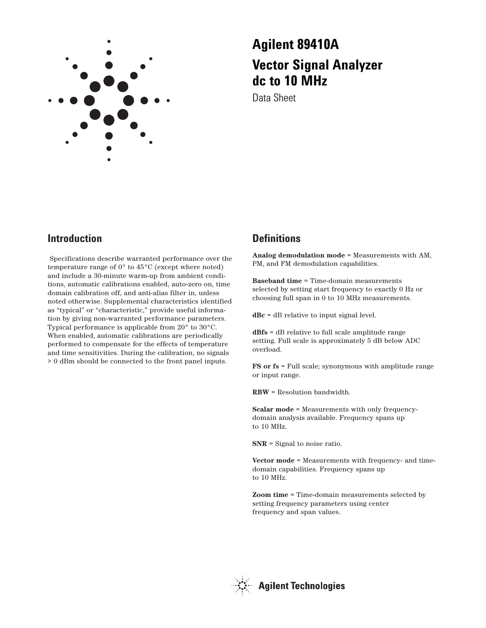

# **Agilent 89410A Vector Signal Analyzer dc to 10 MHz**

Data Sheet

## **Introduction**

Specifications describe warranted performance over the temperature range of 0° to 45°C (except where noted) and include a 30-minute warm-up from ambient conditions, automatic calibrations enabled, auto-zero on, time domain calibration off, and anti-alias filter in, unless noted otherwise. Supplemental characteristics identified as "typical" or "characteristic," provide useful information by giving non-warranted performance parameters. Typical performance is applicable from 20° to 30°C. When enabled, automatic calibrations are periodically performed to compensate for the effects of temperature and time sensitivities. During the calibration, no signals > 0 dBm should be connected to the front panel inputs.

## **Definitions**

**Analog demodulation mode** = Measurements with AM, PM, and FM demodulation capabilities.

**Baseband time** = Time-domain measurements selected by setting start frequency to exactly 0 Hz or choosing full span in 0 to 10 MHz measurements.

**dBc** = dB relative to input signal level.

**dBfs** = dB relative to full scale amplitude range setting. Full scale is approximately 5 dB below ADC overload.

**FS or fs** = Full scale; synonymous with amplitude range or input range.

**RBW** = Resolution bandwidth.

**Scalar mode** = Measurements with only frequencydomain analysis available. Frequency spans up to 10 MHz.

**SNR** = Signal to noise ratio.

**Vector mode** = Measurements with frequency- and timedomain capabilities. Frequency spans up to 10 MHz.

**Zoom time** = Time-domain measurements selected by setting frequency parameters using center frequency and span values.

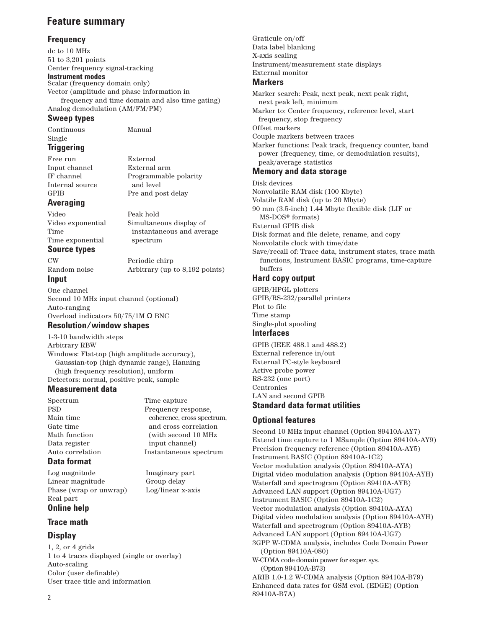## **Feature summary**

## **Frequency**

dc to 10 MHz 51 to 3,201 points Center frequency signal-tracking

**Instrument modes**  Scalar (frequency domain only) Vector (amplitude and phase information in frequency and time domain and also time gating) Analog demodulation (AM/FM/PM)

## **Sweep types**

Continuous Manual Single

## **Triggering**

Free run External Input channel External arm IF channel Programmable polarity Internal source and level GPIB Pre and post delay

## **Averaging**

Video Peak hold Video exponential Simultaneous display of Time instantaneous and average Time exponential spectrum

## **Source types**

CW Periodic chirp Random noise Arbitrary (up to 8,192 points)

## **Input**

One channel Second 10 MHz input channel (optional) Auto-ranging Overload indicators 50/75/1M Ω BNC

## **Resolution/window shapes**

1-3-10 bandwidth steps Arbitrary RBW Windows: Flat-top (high amplitude accuracy), Gaussian-top (high dynamic range), Hanning (high frequency resolution), uniform Detectors: normal, positive peak, sample

## **Measurement data**

Spectrum Time capture Data register input channel)

PSD Frequency response, Main time coherence, cross spectrum, Gate time and cross correlation Math function (with second 10 MHz) Auto correlation Instantaneous spectrum

## **Data format**

Log magnitude Imaginary part Linear magnitude Group delay Phase (wrap or unwrap) Log/linear x-axis Real part

## **Online help**

## **Trace math**

## **Display**

1, 2, or 4 grids 1 to 4 traces displayed (single or overlay) Auto-scaling Color (user definable) User trace title and information

Graticule on/off Data label blanking X-axis scaling Instrument/measurement state displays External monitor **Markers** Marker search: Peak, next peak, next peak right, next peak left, minimum Marker to: Center frequency, reference level, start frequency, stop frequency Offset markers Couple markers between traces Marker functions: Peak track, frequency counter, band power (frequency, time, or demodulation results), peak/average statistics **Memory and data storage** Disk devices Nonvolatile RAM disk (100 Kbyte) Volatile RAM disk (up to 20 Mbyte) 90 mm (3.5-inch) 1.44 Mbyte flexible disk (LIF or MS-DOS® formats)

External GPIB disk

Disk format and file delete, rename, and copy

Nonvolatile clock with time/date

Save/recall of: Trace data, instrument states, trace math functions, Instrument BASIC programs, time-capture buffers

## **Hard copy output**

GPIB/HPGL plotters GPIB/RS-232/parallel printers Plot to file Time stamp Single-plot spooling

## **Interfaces**

GPIB (IEEE 488.1 and 488.2) External reference in/out External PC-style keyboard Active probe power RS-232 (one port) **Centronics** LAN and second GPIB **Standard data format utilities**

## **Optional features**

89410A-B7A)

Second 10 MHz input channel (Option 89410A-AY7) Extend time capture to 1 MSample (Option 89410A-AY9) Precision frequency reference (Option 89410A-AY5) Instrument BASIC (Option 89410A-1C2) Vector modulation analysis (Option 89410A-AYA) Digital video modulation analysis (Option 89410A-AYH) Waterfall and spectrogram (Option 89410A-AYB) Advanced LAN support (Option 89410A-UG7) Instrument BASIC (Option 89410A-1C2) Vector modulation analysis (Option 89410A-AYA) Digital video modulation analysis (Option 89410A-AYH) Waterfall and spectrogram (Option 89410A-AYB) Advanced LAN support (Option 89410A-UG7) 3GPP W-CDMA analysis, includes Code Domain Power (Option 89410A-080) W-CDMA code domain power for exper. sys. (Option 89410A-B73) ARIB 1.0-1.2 W-CDMA analysis (Option 89410A-B79) Enhanced data rates for GSM evol. (EDGE) (Option

2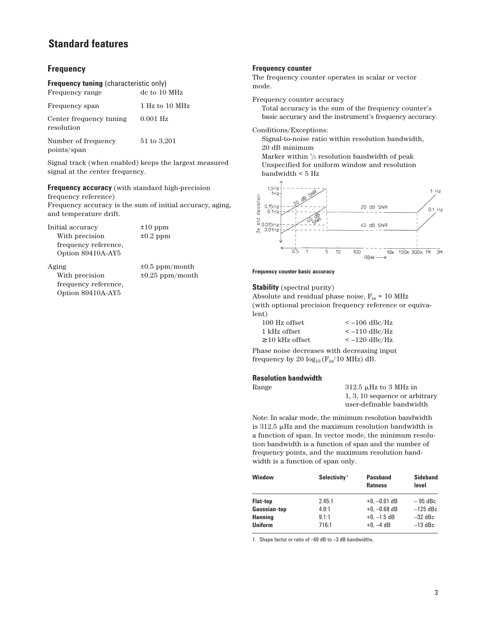## **Frequency**

| <b>Frequency tuning (characteristic only)</b> |                |  |
|-----------------------------------------------|----------------|--|
| Frequency range                               | de to 10 MHz   |  |
| Frequency span                                | 1 Hz to 10 MHz |  |
| Center frequency tuning<br>resolution         | $0.001$ Hz     |  |
| Number of frequency<br>points/span            | 51 to 3,201    |  |

Signal track (when enabled) keeps the largest measured signal at the center frequency.

**Frequency accuracy** (with standard high-precision frequency reference)

Frequency accuracy is the sum of initial accuracy, aging, and temperature drift.

Initial accuracy ±10 ppm With precision  $\pm 0.2$  ppm frequency reference, Option 89410A-AY5

Aging ±0.5 ppm/month With precision  $\pm 0.25$  ppm/month frequency reference, Option 89410A-AY5

## **Frequency counter**

The frequency counter operates in scalar or vector mode.

Frequency counter accuracy

Total accuracy is the sum of the frequency counter's basic accuracy and the instrument's frequency accuracy.

Conditions/Exceptions:

Signal-to-noise ratio within resolution bandwidth, 20 dB minimum

Marker within 1 /2 resolution bandwidth of peak Unspecified for uniform window and resolution bandwidth < 5 Hz



#### **Frequency counter basic accuracy**

#### **Stability** (spectral purity)

Absolute and residual phase noise,  $F_{in}$  = 10 MHz (with optional precision frequency reference or equivalent)

| 100 Hz offset        | $\epsilon$ –106 dBc/Hz |
|----------------------|------------------------|
| 1 kHz offset         | $\epsilon$ –110 dBc/Hz |
| $\geq$ 10 kHz offset | $\epsilon$ –120 dBc/Hz |

Phase noise decreases with decreasing input frequency by 20  $log_{10}$  ( $F_{in}/10$  MHz) dB.

#### **Resolution bandwidth**

| Range | 312.5 $\mu$ Hz to 3 MHz in     |
|-------|--------------------------------|
|       | 1, 3, 10 sequence or arbitrary |
|       | user-definable bandwidth       |

Note: In scalar mode, the minimum resolution bandwidth is  $312.5$   $\mu$ Hz and the maximum resolution bandwidth is a function of span. In vector mode, the minimum resolution bandwidth is a function of span and the number of frequency points, and the maximum resolution bandwidth is a function of span only.

| <b>Window</b>   | Selectivity <sup>1</sup> | <b>Passband</b><br>flatness | <b>Sideband</b><br>level |
|-----------------|--------------------------|-----------------------------|--------------------------|
| <b>Flat-top</b> | 2.45:1                   | $+0$ . $-0.01$ dB           | $-95$ dBc                |
| Gaussian-top    | 4.0:1                    | $+0$ . $-0.68$ dB           | $-125$ dBc               |
| <b>Hanning</b>  | 9.1:1                    | $+0$ . $-1.5$ dB            | $-32$ dBc                |
| <b>Uniform</b>  | 716:1                    | $+0$ . $-4$ dB              | $-13$ dBc                |

1. Shape factor or ratio of –60 dB to –3 dB bandwidths.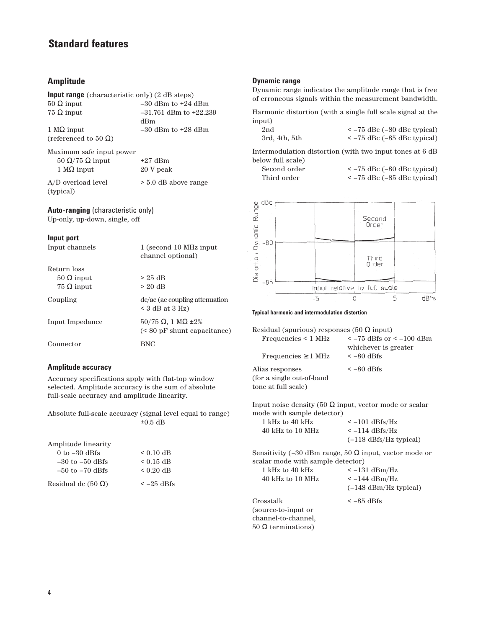## **Amplitude**

| <b>Input range</b> (characteristic only) (2 dB steps) |                            |
|-------------------------------------------------------|----------------------------|
| $50 \Omega$ input                                     | $-30$ dBm to $+24$ dBm     |
| $75 \Omega$ input                                     | $-31.761$ dBm to $+22.239$ |
|                                                       | dBm                        |
| 1 $\text{M}\Omega$ input                              | $-30$ dBm to $+28$ dBm     |
| (referenced to 50 $\Omega$ )                          |                            |
| Maximum safe input power                              |                            |
| 50 Ω/75 Ω input                                       | $+27$ dBm                  |
| $1 \text{ M}\Omega$ input                             | 20 V peak                  |

A/D overload level > 5.0 dB above range (typical)

**Auto-ranging** (characteristic only) Up-only, up-down, single, off

#### **Input port**

| Input channels    | 1 (second 10 MHz input)<br>channel optional)                       |
|-------------------|--------------------------------------------------------------------|
| Return loss       |                                                                    |
| $50$ Ω input      | $> 25$ dB                                                          |
| $75 \Omega$ input | $> 20$ dB                                                          |
| Coupling          | dc/ac (ac coupling attenuation<br>$<$ 3 dB at 3 Hz)                |
| Input Impedance   | $50/75 \Omega$ , 1 M $\Omega$ ±2%<br>$(< 80$ pF shunt capacitance) |
| Connector         | BNC                                                                |
|                   |                                                                    |

## **Amplitude accuracy**

Accuracy specifications apply with flat-top window selected. Amplitude accuracy is the sum of absolute full-scale accuracy and amplitude linearity.

Absolute full-scale accuracy (signal level equal to range)  $\pm 0.5$  dB

| Amplitude linearity       |                  |
|---------------------------|------------------|
| $0$ to $-30$ dBfs         | $< 0.10$ dB      |
| $-30$ to $-50$ dBfs       | $< 0.15$ dB      |
| $-50$ to $-70$ dBfs       | $< 0.20$ dB      |
| Residual dc $(50 \Omega)$ | $\le$ $-25$ dBfs |

#### **Dynamic range**

Dynamic range indicates the amplitude range that is free of erroneous signals within the measurement bandwidth.

Harmonic distortion (with a single full scale signal at the input)

| 2nd           | $\epsilon$ –75 dBc (–80 dBc typical) |
|---------------|--------------------------------------|
| 3rd, 4th, 5th | $\epsilon$ –75 dBc (–85 dBc typical) |

Intermodulation distortion (with two input tones at 6 dB below full scale)

| Second order |  |
|--------------|--|
| Third order  |  |

 $< -75$  dBc  $(-80$  dBc typical)  $< -75$  dBc ( $-85$  dBc typical)



#### **Typical harmonic and intermodulation distortion**

Residual (spurious) responses (50  $\Omega$  input)<br>Frequencies < 1 MHz  $\leq$  -75 dBfs or  $\epsilon$  –75 dBfs or  $\epsilon$  –100 dBm

| $\sim$ -10 dDIS or $\sim$ -100 dDIR |
|-------------------------------------|
| whichever is greater                |
| $\leq -80$ dBfs                     |
| $\leq -80$ dBfs                     |
|                                     |
|                                     |
|                                     |

Input noise density (50 Ω input, vector mode or scalar mode with sample detector)

| 1 kHz to 40 kHz  | $\epsilon$ –101 dBfs/Hz           |
|------------------|-----------------------------------|
| 40 kHz to 10 MHz | $\le -114 \text{ dBfs}/\text{Hz}$ |
|                  | $(-118 \text{ dBfs/Hz typical})$  |

Sensitivity (–30 dBm range, 50  $\Omega$  input, vector mode or scalar mode with sample detector)

| 1 kHz to 40 kHz      | $\leq -131$ dBm/Hz              |
|----------------------|---------------------------------|
| 40 kHz to 10 MHz     | $\epsilon$ –144 dBm/Hz          |
|                      | $(-148 \text{ dBm/Hz typical})$ |
| Crosstalk            | $\leq -85$ dBfs                 |
| (source-to-input or) |                                 |
| channel-to-channel,  |                                 |
| 50 Ω terminations)   |                                 |
|                      |                                 |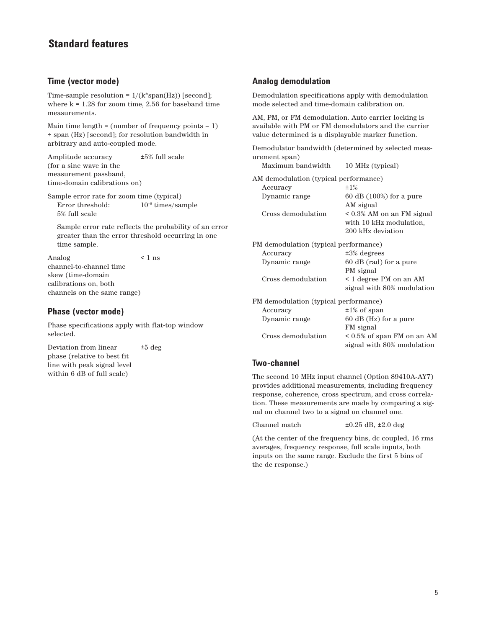## **Time (vector mode)**

Time-sample resolution =  $1/(k*span(Hz))$  [second]; where  $k = 1.28$  for zoom time, 2.56 for baseband time measurements.

Main time length  $=$  (number of frequency points  $-1$ ) ÷ span (Hz) [second]; for resolution bandwidth in arbitrary and auto-coupled mode.

Amplitude accuracy ±5% full scale (for a sine wave in the measurement passband, time-domain calibrations on)

Sample error rate for zoom time (typical) Error threshold:  $10^{-8}$  times/sample 5% full scale

Sample error rate reflects the probability of an error greater than the error threshold occurring in one time sample.

Analog < 1 ns channel-to-channel time skew (time-domain calibrations on, both channels on the same range)

## **Phase (vector mode)**

Phase specifications apply with flat-top window selected.

Deviation from linear ±5 deg phase (relative to best fit line with peak signal level within 6 dB of full scale)

## **Analog demodulation**

Demodulation specifications apply with demodulation mode selected and time-domain calibration on.

AM, PM, or FM demodulation. Auto carrier locking is available with PM or FM demodulators and the carrier value determined is a displayable marker function.

Demodulator bandwidth (determined by selected measurement span) Maximum bandwidth 10 MHz (typical)

|                                       | $10.11112 \times 10.7$ product  |  |  |
|---------------------------------------|---------------------------------|--|--|
| AM demodulation (typical performance) |                                 |  |  |
| Accuracy                              | $±1\%$                          |  |  |
| Dynamic range                         | $60$ dB $(100\%)$ for a pure    |  |  |
|                                       | AM signal                       |  |  |
| Cross demodulation                    | $\leq 0.3\%$ AM on an FM signal |  |  |
|                                       | with 10 kHz modulation,         |  |  |
|                                       | 200 kHz deviation               |  |  |

PM demodulation (typical performance) Accuracy ±3% degrees

| Dynamic range                         | 60 dB (rad) for a pure           |  |  |
|---------------------------------------|----------------------------------|--|--|
|                                       | PM signal                        |  |  |
| Cross demodulation                    | < 1 degree PM on an AM           |  |  |
|                                       | signal with 80% modulation       |  |  |
| FM demodulation (typical performance) |                                  |  |  |
| Accuracy                              | $\pm 1\%$ of span                |  |  |
| Dynamic range                         | 60 dB (Hz) for a pure            |  |  |
|                                       | FM signal                        |  |  |
| Cross demodulation                    | $\leq 0.5\%$ of span FM on an AM |  |  |
|                                       | signal with 80% modulation       |  |  |

## **Two-channel**

The second 10 MHz input channel (Option 89410A-AY7) provides additional measurements, including frequency response, coherence, cross spectrum, and cross correlation. These measurements are made by comparing a signal on channel two to a signal on channel one.

Channel match ±0.25 dB, ±2.0 deg

(At the center of the frequency bins, dc coupled, 16 rms averages, frequency response, full scale inputs, both inputs on the same range. Exclude the first 5 bins of the dc response.)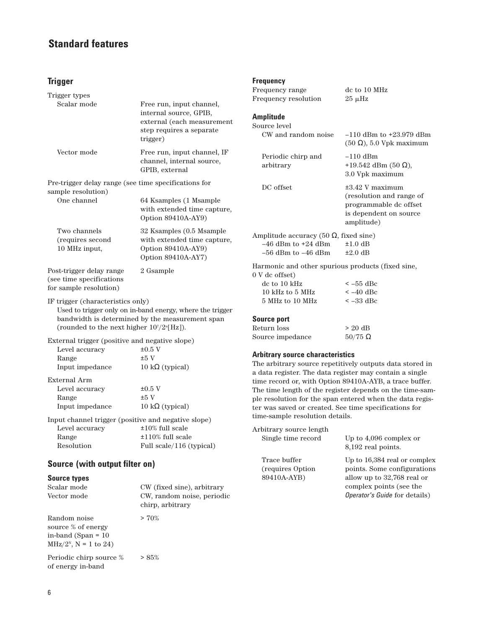## **Trigger**

| Trigger types                                                                                                                                                                                                      |                                                                                                                          |  |
|--------------------------------------------------------------------------------------------------------------------------------------------------------------------------------------------------------------------|--------------------------------------------------------------------------------------------------------------------------|--|
| Scalar mode                                                                                                                                                                                                        | Free run, input channel,<br>internal source, GPIB,<br>external (each measurement<br>step requires a separate<br>trigger) |  |
| Vector mode                                                                                                                                                                                                        | Free run, input channel, IF<br>channel, internal source,<br>GPIB, external                                               |  |
| Pre-trigger delay range (see time specifications for                                                                                                                                                               |                                                                                                                          |  |
| sample resolution)<br>One channel                                                                                                                                                                                  | 64 Ksamples (1 Msample<br>with extended time capture,<br>Option 89410A-AY9)                                              |  |
| Two channels<br>(requires second<br>10 MHz input,                                                                                                                                                                  | 32 Ksamples (0.5 Msample<br>with extended time capture,<br>Option 89410A-AY9)<br>Option 89410A-AY7)                      |  |
| Post-trigger delay range<br>(see time specifications<br>for sample resolution)                                                                                                                                     | 2 Gsample                                                                                                                |  |
| IF trigger (characteristics only)<br>Used to trigger only on in-band energy, where the trigger<br>bandwidth is determined by the measurement span<br>(rounded to the next higher $10^7/2^{\text{n}}[\text{Hz}])$ . |                                                                                                                          |  |
| External trigger (positive and negative slope)                                                                                                                                                                     |                                                                                                                          |  |
| Level accuracy                                                                                                                                                                                                     | $\pm 0.5$ V                                                                                                              |  |
| Range                                                                                                                                                                                                              | ±5V                                                                                                                      |  |
| Input impedance                                                                                                                                                                                                    | 10 k $\Omega$ (typical)                                                                                                  |  |
| External Arm                                                                                                                                                                                                       |                                                                                                                          |  |
| Level accuracy                                                                                                                                                                                                     | $\pm 0.5$ V                                                                                                              |  |
| Range                                                                                                                                                                                                              | $±5$ V                                                                                                                   |  |
| Input impedance                                                                                                                                                                                                    | $10 k\Omega$ (typical)                                                                                                   |  |
| Input channel trigger (positive and negative slope)                                                                                                                                                                |                                                                                                                          |  |
| Level accuracy                                                                                                                                                                                                     | $±10\%$ full scale                                                                                                       |  |
| Range                                                                                                                                                                                                              | ±110% full scale                                                                                                         |  |
| Resolution                                                                                                                                                                                                         | Full scale/116 (typical)                                                                                                 |  |
| Source (with output filter on)                                                                                                                                                                                     |                                                                                                                          |  |

#### **Source types**

| Scalar mode<br>Vector mode                                                                        | CW (fixed sine), arbitrary<br>CW, random noise, periodic<br>chirp, arbitrary |
|---------------------------------------------------------------------------------------------------|------------------------------------------------------------------------------|
| Random noise<br>source % of energy<br>in-band (Span = $10$ )<br>MHz/2 <sup>N</sup> , N = 1 to 24) | $> 70\%$                                                                     |
| Periodic chirp source %<br>of energy in-band                                                      | > 85%                                                                        |

## **Frequency**

| Frequency range<br>Frequency resolution                                                                                   | dc to 10 MHz<br>$25 \mu$ Hz                                                                                        |
|---------------------------------------------------------------------------------------------------------------------------|--------------------------------------------------------------------------------------------------------------------|
| Amplitude<br>Source level                                                                                                 |                                                                                                                    |
| CW and random noise                                                                                                       | $-110$ dBm to $+23.979$ dBm<br>$(50 \Omega)$ , 5.0 Vpk maximum                                                     |
| Periodic chirp and<br>arbitrary                                                                                           | $-110$ dBm<br>+19.542 dBm (50 $\Omega$ ),<br>3.0 Vpk maximum                                                       |
| DC offset                                                                                                                 | $\pm 3.42$ V maximum<br>(resolution and range of<br>programmable dc offset<br>is dependent on source<br>amplitude) |
| Amplitude accuracy (50 $\Omega$ , fixed sine)<br>$-46$ dBm to $+24$ dBm<br>$-56$ dBm to $-46$ dBm                         | $±1.0$ dB<br>$\pm 2.0$ dB                                                                                          |
| Harmonic and other spurious products (fixed sine,<br>0 V dc offset)<br>de to 10 kHz<br>10 kHz to 5 MHz<br>5 MHz to 10 MHz | $\sim$ –55 dBc<br>$<-40$ dBc<br>$\leq -33$ dBc                                                                     |
| <b>Source port</b><br>Return loss                                                                                         | $> 20$ dB                                                                                                          |

# Source impedance  $50/75 \Omega$

## **Arbitrary source characteristics**

The arbitrary source repetitively outputs data stored in a data register. The data register may contain a single time record or, with Option 89410A-AYB, a trace buffer. The time length of the register depends on the time-sample resolution for the span entered when the data register was saved or created. See time specifications for time-sample resolution details.

| Arbitrary source length |                                      |  |  |
|-------------------------|--------------------------------------|--|--|
| Single time record      | Up to 4,096 complex or               |  |  |
|                         | 8,192 real points.                   |  |  |
| Trace buffer            | Up to 16,384 real or complex         |  |  |
| (requires Option)       | points. Some configurations          |  |  |
| 89410A-AYB)             | allow up to 32,768 real or           |  |  |
|                         | complex points (see the              |  |  |
|                         | <i>Operator's Guide for details)</i> |  |  |
|                         |                                      |  |  |
|                         |                                      |  |  |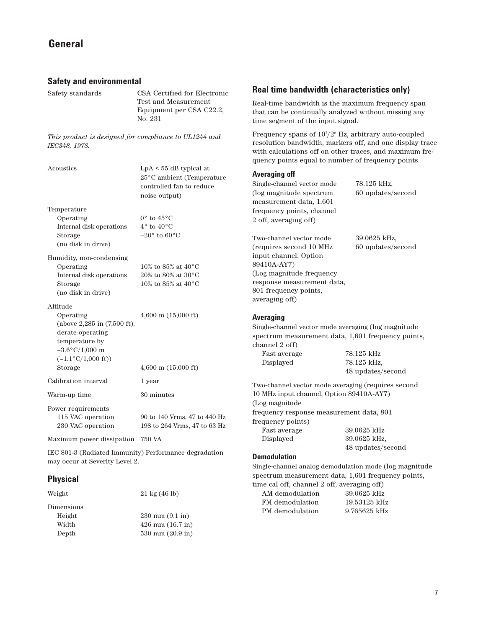| <b>Safety and environmental</b>                                                                                                                           |                                                                                                       |
|-----------------------------------------------------------------------------------------------------------------------------------------------------------|-------------------------------------------------------------------------------------------------------|
| Safety standards                                                                                                                                          | CSA Certified for Electronic<br>Test and Measurement<br>Equipment per CSA C22.2,<br>No. 231           |
| This product is designed for compliance to UL1244 and<br>IEC348, 1978.                                                                                    |                                                                                                       |
| Acoustics                                                                                                                                                 | $LpA \leq 55$ dB typical at<br>25°C ambient (Temperature<br>controlled fan to reduce<br>noise output) |
| Temperature<br>Operating<br>Internal disk operations<br>Storage<br>(no disk in drive)                                                                     | $0^{\circ}$ to $45^{\circ}$ C<br>$4^{\circ}$ to $40^{\circ}$ C<br>$-20^{\circ}$ to 60 $^{\circ}$ C    |
| Humidity, non-condensing<br>Operating<br>Internal disk operations<br>Storage<br>(no disk in drive)                                                        | 10% to 85% at $40^{\circ}$ C<br>20% to 80% at 30°C<br>10% to 85% at 40 °C                             |
| Altitude<br>Operating<br>(above 2,285 in (7,500 ft),<br>derate operating<br>temperature by<br>$-3.6\degree C/1,000$ m<br>$(-1.1$ °C/1,000 ft))<br>Storage | 4,600 m $(15,000 \text{ ft})$<br>4,600 m $(15,000 \text{ ft})$                                        |
| Calibration interval                                                                                                                                      | 1 year                                                                                                |
| Warm-up time                                                                                                                                              | 30 minutes                                                                                            |
| Power requirements<br>115 VAC operation<br>230 VAC operation<br>Maximum power dissipation 750 VA                                                          | 90 to 140 Vrms, 47 to 440 Hz<br>198 to 264 Vrms, 47 to 63 Hz                                          |
|                                                                                                                                                           |                                                                                                       |

IEC 801-3 (Radiated Immunity) Performance degradation may occur at Severity Level 2.

## **Physical**

| Weight     | $21 \text{ kg} (46 \text{ lb})$   |
|------------|-----------------------------------|
| Dimensions |                                   |
| Height     | $230 \text{ mm} (9.1 \text{ in})$ |
| Width      | $426$ mm $(16.7$ in)              |
| Depth      | 530 mm $(20.9 \text{ in})$        |

## **Real time bandwidth (characteristics only)**

Real-time bandwidth is the maximum frequency span that can be continually analyzed without missing any time segment of the input signal.

Frequency spans of  $10^{7}/2^{n}$  Hz, arbitrary auto-coupled resolution bandwidth, markers off, and one display trace with calculations off on other traces, and maximum frequency points equal to number of frequency points.

## **Averaging off**

Single-channel vector mode 78.125 kHz, (log magnitude spectrum 60 updates/second measurement data, 1,601 frequency points, channel 2 off, averaging off)

Two-channel vector mode 39.0625 kHz, (requires second 10 MHz 60 updates/second input channel, Option 89410A-AY7) (Log magnitude frequency response measurement data, 801 frequency points, averaging off)

#### **Averaging**

Single-channel vector mode averaging (log magnitude spectrum measurement data, 1,601 frequency points, channel 2 off) Fast average 78.125 kHz

Displayed 78.125 kHz, 48 updates/second

Two-channel vector mode averaging (requires second 10 MHz input channel, Option 89410A-AY7) (Log magnitude frequency response measurement data, 801 frequency points) Fast average 39.0625 kHz Displayed 39.0625 kHz, 48 updates/second

#### **Demodulation**

Single-channel analog demodulation mode (log magnitude spectrum measurement data, 1,601 frequency points, time cal off, channel 2 off, averaging off)

| AM demodulation | $39.0625$ kHz  |
|-----------------|----------------|
| FM demodulation | $19.53125$ kHz |
| PM demodulation | 9.765625 kHz   |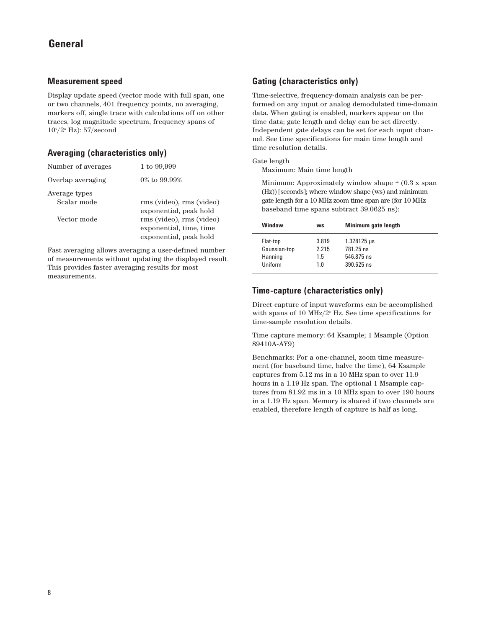## **Measurement speed**

Display update speed (vector mode with full span, one or two channels, 401 frequency points, no averaging, markers off, single trace with calculations off on other traces, log magnitude spectrum, frequency spans of 107 /2n Hz): 57/second

## **Averaging (characteristics only)**

| Number of averages           | 1 to 99,999                                                                   |
|------------------------------|-------------------------------------------------------------------------------|
| Overlap averaging            | $0\%$ to 99.99%                                                               |
| Average types<br>Scalar mode | rms (video), rms (video)<br>exponential, peak hold                            |
| Vector mode                  | rms (video), rms (video)<br>exponential, time, time<br>exponential, peak hold |

Fast averaging allows averaging a user-defined number of measurements without updating the displayed result. This provides faster averaging results for most measurements.

## **Gating (characteristics only)**

Time-selective, frequency-domain analysis can be performed on any input or analog demodulated time-domain data. When gating is enabled, markers appear on the time data; gate length and delay can be set directly. Independent gate delays can be set for each input channel. See time specifications for main time length and time resolution details.

#### Gate length

Maximum: Main time length

Minimum: Approximately window shape  $\div(0.3 \times \text{span})$ (Hz)) [seconds]; where window shape (ws) and minimum gate length for a 10 MHz zoom time span are (for 10 MHz baseband time spans subtract 39.0625 ns):

|                                                                                                                                                 |  | Window | <b>WS</b> | Minimum gate length |
|-------------------------------------------------------------------------------------------------------------------------------------------------|--|--------|-----------|---------------------|
| 3.819<br>$1.328125 \,\mu s$<br>Flat-top<br>Gaussian-top<br>2.215<br>781.25 ns<br>Hanning<br>546.875 ns<br>1.5<br>$390.625$ ns<br>Uniform<br>1 0 |  |        |           |                     |

## **Time-capture (characteristics only)**

Direct capture of input waveforms can be accomplished with spans of 10 MHz/ $2^n$  Hz. See time specifications for time-sample resolution details.

Time capture memory: 64 Ksample; 1 Msample (Option 89410A-AY9)

Benchmarks: For a one-channel, zoom time measurement (for baseband time, halve the time), 64 Ksample captures from 5.12 ms in a 10 MHz span to over 11.9 hours in a 1.19 Hz span. The optional 1 Msample captures from 81.92 ms in a 10 MHz span to over 190 hours in a 1.19 Hz span. Memory is shared if two channels are enabled, therefore length of capture is half as long.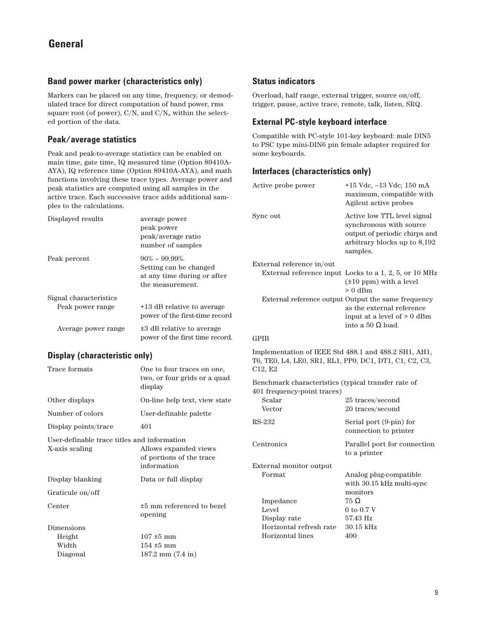## **Band power marker (characteristics only)**

Markers can be placed on any time, frequency, or demodulated trace for direct computation of band power, rms square root (of power), C/N, and C/N<sub>o</sub> within the selected portion of the data.

## **Peak/average statistics**

Peak and peak-to-average statistics can be enabled on main time, gate time, IQ measured time (Option 89410A-AYA), IQ reference time (Option 89410A-AYA), and math functions involving these trace types. Average power and peak statistics are computed using all samples in the active trace. Each successive trace adds additional samples to the calculations.

| Displayed results      | average power<br>peak power<br>peak/average ratio<br>number of samples                        |
|------------------------|-----------------------------------------------------------------------------------------------|
| Peak percent           | $90\% - 99.99\%$<br>Setting can be changed<br>at any time during or after<br>the measurement. |
| Signal characteristics |                                                                                               |
| Peak power range       | +13 dB relative to average<br>power of the first-time record                                  |
| Average power range    | ±3 dB relative to average<br>power of the first time record.                                  |

## **Display (characteristic only)**

| Trace formats                                                 | One to four traces on one,<br>two, or four grids or a quad<br>display |
|---------------------------------------------------------------|-----------------------------------------------------------------------|
| Other displays                                                | On-line help text, view state                                         |
| Number of colors                                              | User-definable palette                                                |
| Display points/trace                                          | 401                                                                   |
| User-definable trace titles and information<br>X-axis scaling | Allows expanded views<br>of portions of the trace<br>information      |
| Display blanking                                              | Data or full display                                                  |
| Graticule on/off                                              |                                                                       |
| Center                                                        | $\pm 5$ mm referenced to bezel<br>opening                             |
| Dimensions<br>Height<br>Width<br>Diagonal                     | $107 \pm 5$ mm<br>$154 \pm 5$ mm<br>$187.2$ mm $(7.4$ in)             |
|                                                               |                                                                       |

## **Status indicators**

Overload, half range, external trigger, source on/off, trigger, pause, active trace, remote, talk, listen, SRQ.

## **External PC-style keyboard interface**

Compatible with PC-style 101-key keyboard: male DIN5 to PSC type mini-DIN6 pin female adapter required for some keyboards.

## **Interfaces (characteristics only)**

| Active probe power                                                                                                        | +15 Vdc, -13 Vdc; 150 mA<br>maximum, compatible with<br>Agilent active probes                                                               |
|---------------------------------------------------------------------------------------------------------------------------|---------------------------------------------------------------------------------------------------------------------------------------------|
| Sync out                                                                                                                  | Active low TTL level signal<br>synchronous with source<br>output of periodic chirps and<br>arbitrary blocks up to 8,192<br>samples.         |
| External reference in/out                                                                                                 |                                                                                                                                             |
|                                                                                                                           | External reference input Locks to a 1, 2, 5, or 10 MHz<br>$(\pm 10$ ppm) with a level<br>$> 0$ dBm                                          |
|                                                                                                                           | External reference output Output the same frequency<br>as the external reference<br>input at a level of > 0 dBm<br>into a 50 $\Omega$ load. |
| <b>GPIB</b>                                                                                                               |                                                                                                                                             |
| Implementation of IEEE Std 488.1 and 488.2 SH1, AH1,<br>T6, TE0, L4, LE0, SR1, RL1, PP0, DC1, DT1, C1, C2, C3,<br>C12, E2 |                                                                                                                                             |
| Benchmark characteristics (typical transfer rate of<br>401 frequency-point traces)                                        |                                                                                                                                             |
| Scalar<br>Vector                                                                                                          | 25 traces/second                                                                                                                            |
|                                                                                                                           | 20 traces/second                                                                                                                            |
| RS-232                                                                                                                    | Serial port (9-pin) for<br>connection to printer                                                                                            |
| Centronics                                                                                                                | Parallel port for connection<br>to a printer                                                                                                |
| External monitor output                                                                                                   |                                                                                                                                             |
| Format                                                                                                                    | Analog plug-compatible<br>with 30.15 kHz multi-sync<br>monitors                                                                             |
| Impedance                                                                                                                 | $75\ \Omega$                                                                                                                                |
| Level                                                                                                                     | 0 to 0.7 V                                                                                                                                  |
| Display rate                                                                                                              | 57.43 Hz                                                                                                                                    |
| Horizontal refresh rate                                                                                                   | $30.15$ kHz                                                                                                                                 |
| Horizontal lines                                                                                                          | 400                                                                                                                                         |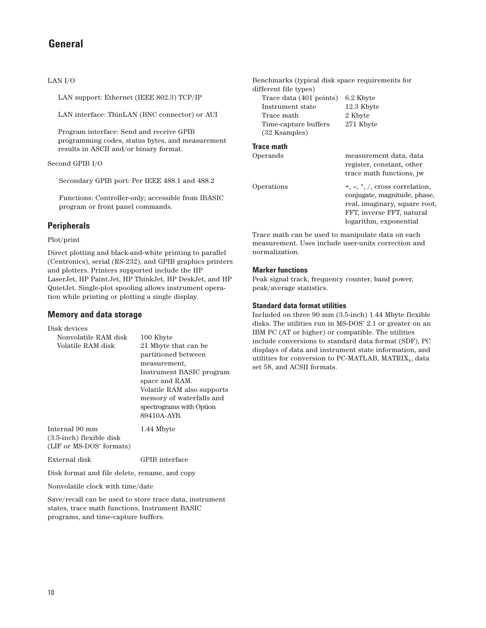## LAN I/O

LAN support: Ethernet (IEEE 802.3) TCP/IP

LAN interface: ThinLAN (BNC connector) or AUI

Program interface: Send and receive GPIB programming codes, status bytes, and measurement results in ASCII and/or binary format.

## Second GPIB I/O

Secondary GPIB port: Per IEEE 488.1 and 488.2

Functions: Controller-only; accessible from IBASIC program or front panel commands.

## **Peripherals**

## Plot/print

Direct plotting and black-and-white printing to parallel (Centronics), serial (RS-232), and GPIB graphics printers and plotters. Printers supported include the HP LaserJet, HP Paint.Jet, HP ThinkJet, HP DeskJet, and HP QuietJet. Single-plot spooling allows instrument operation while printing or plotting a single display.

## **Memory and data storage**

Disk devices

| Nonvolatile RAM disk                 | 100 Kbyte                  |
|--------------------------------------|----------------------------|
| Volatile RAM disk                    | 21 Mbyte that can be       |
|                                      | partitioned between        |
|                                      | measurement,               |
|                                      | Instrument BASIC program   |
|                                      | space and RAM.             |
|                                      | Volatile RAM also supports |
|                                      | memory of waterfalls and   |
|                                      | spectrograms with Option   |
|                                      | 89410A-AYB.                |
| Internal 90 mm                       | 1.44 Mbyte                 |
| (3.5-inch) flexible disk             |                            |
| (LIF or MS-DOS <sup>*</sup> formats) |                            |
|                                      |                            |

External disk GPIB interface

Disk format and file delete, rename, and copy

Nonvolatile clock with time/date

Save/recall can be used to store trace data, instrument states, trace math functions, Instrument BASIC programs, and time-capture buffers.

Benchmarks (typical disk space requirements for different file types)

| Trace data (401 points) | 6.2 Kbyte  |
|-------------------------|------------|
| Instrument state        | 12.3 Kbyte |
| Trace math              | 2 Kbyte    |
| Time-capture buffers    | 271 Kbyte  |
| (32 Ksamples)           |            |

## **Trace math**

| Operands   | measurement data, data<br>register, constant, other<br>trace math functions, jw                                                                           |
|------------|-----------------------------------------------------------------------------------------------------------------------------------------------------------|
| Operations | $+, -, *, /$ , cross correlation,<br>conjugate, magnitude, phase,<br>real, imaginary, square root,<br>FFT, inverse FFT, natural<br>logarithm, exponential |

Trace math can be used to manipulate data on each measurement. Uses include user-units correction and normalization.

## **Marker functions**

Peak signal track, frequency counter, band power, peak/average statistics.

## **Standard data format utilities**

Included on three 90 mm (3.5-inch) 1.44 Mbyte flexible disks. The utilities run in MS-DOS<sup>®</sup> 2.1 or greater on an IBM PC (AT or higher) or compatible. The utilities include conversions to standard data format (SDF), PC displays of data and instrument state information, and utilities for conversion to PC-MATLAB,  $MATRIX<sub>x</sub>$ , data set 58, and ACSII formats.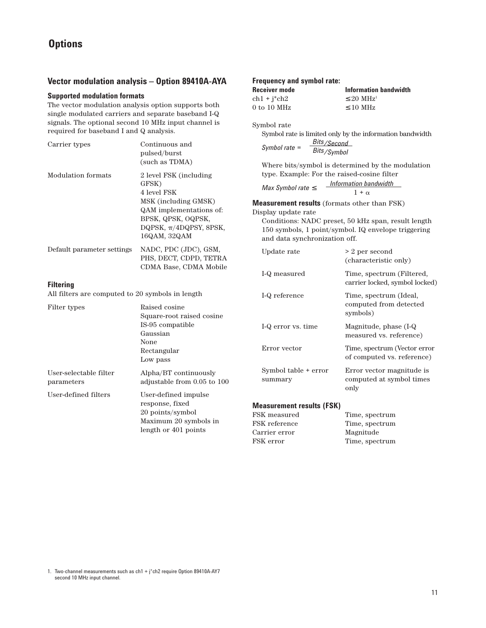## **Vector modulation analysis – Option 89410A-AYA**

## **Supported modulation formats**

The vector modulation analysis option supports both single modulated carriers and separate baseband I-Q signals. The optional second 10 MHz input channel is required for baseband I and Q analysis.

| Carrier types                                                     | Continuous and<br>pulsed/burst<br>(such as TDMA)                                                             | Bits/Second<br>Bits/Symbol<br>Symbol rate $=$                                                                                                       |                                                                                            |
|-------------------------------------------------------------------|--------------------------------------------------------------------------------------------------------------|-----------------------------------------------------------------------------------------------------------------------------------------------------|--------------------------------------------------------------------------------------------|
| <b>Modulation</b> formats                                         | 2 level FSK (including<br>GFSK)<br>4 level FSK<br>MSK (including GMSK)<br>QAM implementations of:            | type. Example: For the raised-cosine filter<br>Max Symbol rate $\leq$<br><b>Measurement results</b> (formats other than FSK)<br>Display update rate | Where bits/symbol is determined by the modulation<br>Information bandwidth<br>$1 + \alpha$ |
| BPSK, QPSK, OQPSK,<br>DQPSK, $\pi$ /4DQPSY, 8PSK,<br>16QAM, 32QAM | and data synchronization off.                                                                                | Conditions: NADC preset, 50 kHz span, result length<br>150 symbols, 1 point/symbol. IQ envelope triggering                                          |                                                                                            |
| Default parameter settings                                        | NADC, PDC (JDC), GSM,<br>PHS, DECT, CDPD, TETRA<br>CDMA Base, CDMA Mobile                                    | Update rate                                                                                                                                         | > 2 per second<br>(characteristic only)                                                    |
| <b>Filtering</b>                                                  |                                                                                                              | I-Q measured                                                                                                                                        | Time, spectrum (Filtered,<br>carrier locked, symbol locked)                                |
| All filters are computed to 20 symbols in length                  |                                                                                                              | I-Q reference                                                                                                                                       | Time, spectrum (Ideal,                                                                     |
| Filter types                                                      | Raised cosine<br>Square-root raised cosine                                                                   |                                                                                                                                                     | computed from detected<br>symbols)                                                         |
| Gaussian<br>None<br>Low pass                                      | IS-95 compatible                                                                                             | I-Q error vs. time                                                                                                                                  | Magnitude, phase (I-Q<br>measured vs. reference)                                           |
|                                                                   | Rectangular                                                                                                  | Error vector                                                                                                                                        | Time, spectrum (Vector error<br>of computed vs. reference)                                 |
| User-selectable filter<br>parameters                              | Alpha/BT continuously<br>adjustable from 0.05 to 100                                                         | Symbol table + error<br>summary                                                                                                                     | Error vector magnitude is<br>computed at symbol times<br>only                              |
| User-defined filters                                              | User-defined impulse<br>response, fixed<br>20 points/symbol<br>Maximum 20 symbols in<br>length or 401 points | <b>Measurement results (FSK)</b><br>FSK measured<br>FSK reference<br>Carrier error<br>FSK error                                                     | Time, spectrum<br>Time, spectrum<br>Magnitude<br>Time, spectrum                            |

**Frequency and symbol rate:**

 $0$  to  $10~\mathrm{MHz}$ 

Symbol rate

**Receiver mode Information bandwidth**

Symbol rate is limited only by the information bandwidth

ch1 + j\*ch2  $\leq 20 \text{ MHz}$ <br>0 to 10 MHz  $\leq 10 \text{ MHz}$ 

1. Two-channel measurements such as ch1 + j\*ch2 require Option 89410A-AY7 second 10 MHz input channel.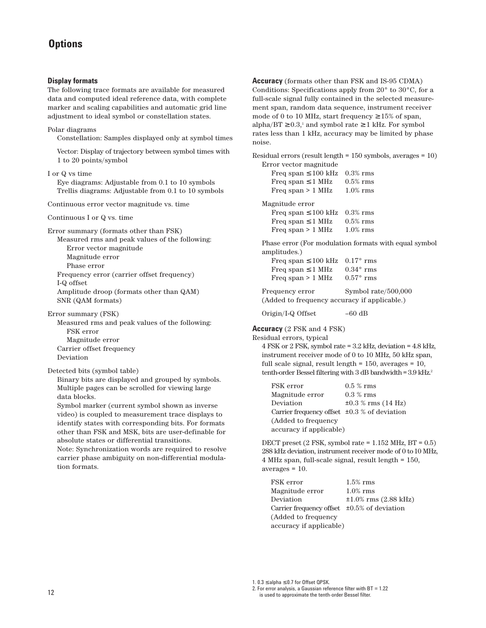#### **Display formats**

The following trace formats are available for measured data and computed ideal reference data, with complete marker and scaling capabilities and automatic grid line adjustment to ideal symbol or constellation states.

#### Polar diagrams

Constellation: Samples displayed only at symbol times

Vector: Display of trajectory between symbol times with 1 to 20 points/symbol

#### I or Q vs time

Eye diagrams: Adjustable from 0.1 to 10 symbols Trellis diagrams: Adjustable from 0.1 to 10 symbols

Continuous error vector magnitude vs. time

Continuous I or Q vs. time

Error summary (formats other than FSK) Measured rms and peak values of the following: Error vector magnitude Magnitude error Phase error Frequency error (carrier offset frequency) I-Q offset Amplitude droop (formats other than QAM) SNR (QAM formats)

Error summary (FSK)

Measured rms and peak values of the following: FSK error Magnitude error Carrier offset frequency Deviation

Detected bits (symbol table)

Binary bits are displayed and grouped by symbols. Multiple pages can be scrolled for viewing large data blocks.

Symbol marker (current symbol shown as inverse video) is coupled to measurement trace displays to identify states with corresponding bits. For formats other than FSK and MSK, bits are user-definable for absolute states or differential transitions.

Note: Synchronization words are required to resolve carrier phase ambiguity on non-differential modulation formats.

**Accuracy** (formats other than FSK and IS-95 CDMA) Conditions: Specifications apply from  $20^{\circ}$  to  $30^{\circ}$ C, for a full-scale signal fully contained in the selected measurement span, random data sequence, instrument receiver mode of 0 to 10 MHz, start frequency  $\geq 15\%$  of span, alpha/BT  $\geq 0.3$ ,<sup>1</sup> and symbol rate  $\geq 1$  kHz. For symbol rates less than 1 kHz, accuracy may be limited by phase noise.

Residual errors (result length = 150 symbols, averages = 10) Error vector magnitude

| Freq span $\leq 100$ kHz | $0.3\%$ rms |
|--------------------------|-------------|
| Freq span $\leq 1$ MHz   | $0.5\%$ rms |
| Freq span $> 1$ MHz      | $1.0\%$ rms |
| Magnitude error          |             |
| Freq span $\leq 100$ kHz | $0.3\%$ rms |
| Freq span $\leq 1$ MHz   | $0.5\%$ rms |
| Freq span $> 1$ MHz      | $1.0\%$ rms |

Phase error (For modulation formats with equal symbol amplitudes.)

| Freq span $\leq 100$ kHz 0.17° rms |                    |
|------------------------------------|--------------------|
| Freq span $\leq 1$ MHz             | $0.34^{\circ}$ rms |
| Freq span $> 1$ MHz                | $0.57^{\circ}$ rms |

Frequency error Symbol rate/500,000 (Added to frequency accuracy if applicable.)

Origin/I-Q Offset –60 dB

#### **Accuracy** (2 FSK and 4 FSK)

Residual errors, typical

4 FSK or 2 FSK, symbol rate = 3.2 kHz, deviation = 4.8 kHz, instrument receiver mode of 0 to 10 MHz, 50 kHz span, full scale signal, result length = 150, averages = 10, tenth-order Bessel filtering with  $3$  dB bandwidth =  $3.9$  kHz.<sup>2</sup>

| FSK error                                         | $0.5\%$ rms             |
|---------------------------------------------------|-------------------------|
| Magnitude error                                   | $0.3\%$ rms             |
| Deviation                                         | $\pm 0.3$ % rms (14 Hz) |
| Carrier frequency offset $\pm 0.3$ % of deviation |                         |
| (Added to frequency                               |                         |
| accuracy if applicable)                           |                         |

DECT preset  $(2$  FSK, symbol rate =  $1.152$  MHz, BT =  $0.5$ ) 288 kHz deviation, instrument receiver mode of 0 to10 MHz, 4 MHz span, full-scale signal, result length = 150, averages = 10.

| FSK error                                         | $1.5\%$ rms                |
|---------------------------------------------------|----------------------------|
| Magnitude error                                   | $1.0\%$ rms                |
| Deviation                                         | $\pm 1.0\%$ rms (2.88 kHz) |
| Carrier frequency offset $\pm 0.5\%$ of deviation |                            |
| (Added to frequency                               |                            |
| accuracy if applicable)                           |                            |

1. 0.3 ≤ alpha ≤ 0.7 for Offset QPSK.

<sup>2.</sup> For error analysis, a Gaussian reference filter with BT = 1.22 is used to approximate the tenth-order Bessel filter.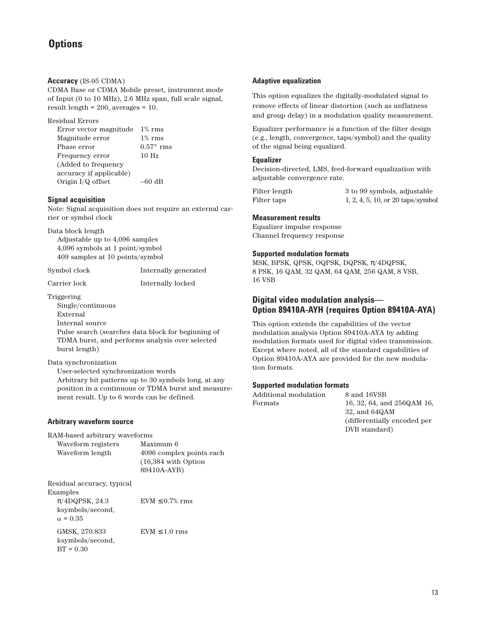#### **Accuracy** (IS-95 CDMA)

CDMA Base or CDMA Mobile preset, instrument mode of Input (0 to 10 MHz), 2.6 MHz span, full scale signal, result length = 200, averages = 10.

#### Residual Errors

Error vector magnitude 1% rms Magnitude error 1% rms Phase error 0.57° rms Frequency error 10 Hz (Added to frequency accuracy if applicable) Origin I/Q offset –60 dB

#### **Signal acquisition**

Note: Signal acquisition does not require an external carrier or symbol clock

Data block length

Adjustable up to 4,096 samples 4,096 symbols at 1 point/symbol 409 samples at 10 points/symbol

Symbol clock Internally generated

Carrier lock Internally locked

Triggering

Single/continuous External Internal source Pulse search (searches data block for beginning of TDMA burst, and performs analysis over selected burst length)

## Data synchronization

User-selected synchronization words Arbitrary bit patterns up to 30 symbols long, at any position in a continuous or TDMA burst and measurement result. Up to 6 words can be defined.

## **Arbitrary waveform source**

RAM-based arbitrary waveforms

Waveform registers Maximum 6 Waveform length 4096 complex points each (16,384 with Option 89410A-AYB) Residual accuracy, typical Examples

 $\pi$ /4DQPSK, 24.3 EVM  $\leq$  0.7% rms ksymbols/second,  $\alpha = 0.35$ GMSK,  $270.833$  EVM  $\leq 1.0$  rms ksymbols/second,  $BT = 0.30$ 

#### **Adaptive equalization**

This option equalizes the digitally-modulated signal to remove effects of linear distortion (such as unflatness and group delay) in a modulation quality measurement.

Equalizer performance is a function of the filter design (e.g., length, convergence, taps/symbol) and the quality of the signal being equalized.

#### **Equalizer**

Decision-directed, LMS, feed-forward equalization with adjustable convergence rate.

Filter length 3 to 99 symbols, adjustable Filter taps 1, 2, 4, 5, 10, or 20 taps/symbol

## **Measurement results**

Equalizer impulse response Channel frequency response

#### **Supported modulation formats**

MSK, BPSK, QPSK, OQPSK, DQPSK, π/4DQPSK, 8 PSK, 16 QAM, 32 QAM, 64 QAM, 256 QAM, 8 VSB, 16 VSB

## **Digital video modulation analysis— Option 89410A-AYH (requires Option 89410A-AYA)**

This option extends the capabilities of the vector modulation analysis Option 89410A-AYA by adding modulation formats used for digital video transmission. Except where noted, all of the standard capabilities of Option 89410A-AYA are provided for the new modulation formats.

## **Supported modulation formats**

| Additional modulation | 8 and 16VSB                 |
|-----------------------|-----------------------------|
| Formats               | 16, 32, 64, and 256QAM 16,  |
|                       | $32$ , and $64QAM$          |
|                       | (differentially encoded per |

DVB standard)

13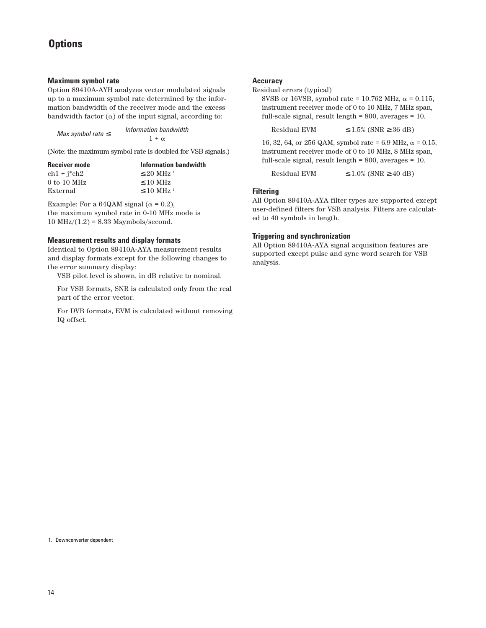#### **Maximum symbol rate**

Option 89410A-AYH analyzes vector modulated signals up to a maximum symbol rate determined by the information bandwidth of the receiver mode and the excess bandwidth factor  $(\alpha)$  of the input signal, according to:

| Max symbol rate $\leq$ | Information bandwidth<br>$1 + \alpha$ |
|------------------------|---------------------------------------|
|                        |                                       |

(Note: the maximum symbol rate is doubled for VSB signals.)

| <b>Receiver mode</b> | Information bandwidth      |
|----------------------|----------------------------|
| $ch1 + i * ch2$      | $\leq$ 20 MHz <sup>1</sup> |
| $0$ to $10$ MHz      | $\leq 10$ MHz              |
| External             | $\leq$ 10 MHz <sup>1</sup> |

Example: For a 64QAM signal ( $\alpha$  = 0.2), the maximum symbol rate in 0-10 MHz mode is  $10$  MHz $/(1.2)$  = 8.33 Msymbols/second.

#### **Measurement results and display formats**

Identical to Option 89410A-AYA measurement results and display formats except for the following changes to the error summary display:

VSB pilot level is shown, in dB relative to nominal.

For VSB formats, SNR is calculated only from the real part of the error vector.

For DVB formats, EVM is calculated without removing IQ offset.

#### **Accuracy**

Residual errors (typical)

8VSB or 16VSB, symbol rate = 10.762 MHz,  $\alpha$  = 0.115, instrument receiver mode of 0 to 10 MHz, 7 MHz span, full-scale signal, result length = 800, averages = 10.

Residual EVM  $\leq 1.5\%$  (SNR  $\geq 36$  dB)

16, 32, 64, or 256 QAM, symbol rate = 6.9 MHz,  $\alpha$  = 0.15, instrument receiver mode of 0 to 10 MHz, 8 MHz span, full-scale signal, result length = 800, averages = 10.

Residual EVM  $\leq 1.0\%$  (SNR  $\geq 40$  dB)

## **Filtering**

All Option 89410A-AYA filter types are supported except user-defined filters for VSB analysis. Filters are calculated to 40 symbols in length.

## **Triggering and synchronization**

All Option 89410A-AYA signal acquisition features are supported except pulse and sync word search for VSB analysis.

1. Downconverter dependent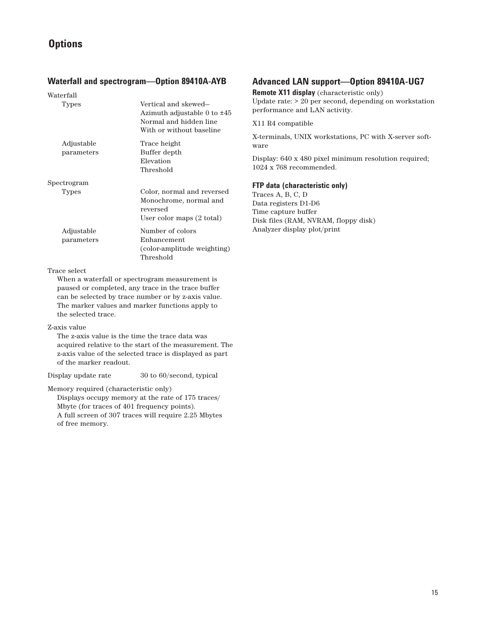## **Waterfall and spectrogram—Option 89410A-AYB**

| Vertical and skewed-<br>Azimuth adjustable 0 to ±45<br>Normal and hidden line<br>With or without baseline |
|-----------------------------------------------------------------------------------------------------------|
| Trace height<br>Buffer depth<br>Elevation<br>Threshold                                                    |
|                                                                                                           |
| Color, normal and reversed<br>Monochrome, normal and<br>reversed<br>User color maps $(2 \text{ total})$   |
| Number of colors<br>Enhancement<br>(color-amplitude weighting)<br>Threshold                               |
|                                                                                                           |

#### Trace select

When a waterfall or spectrogram measurement is paused or completed, any trace in the trace buffer can be selected by trace number or by z-axis value. The marker values and marker functions apply to the selected trace.

#### Z-axis value

The z-axis value is the time the trace data was acquired relative to the start of the measurement. The z-axis value of the selected trace is displayed as part of the marker readout.

Display update rate 30 to 60/second, typical

Memory required (characteristic only)

Displays occupy memory at the rate of 175 traces/ Mbyte (for traces of 401 frequency points). A full screen of 307 traces will require 2.25 Mbytes of free memory.

## **Advanced LAN support—Option 89410A-UG7**

**Remote X11 display** (characteristic only)

Update rate: > 20 per second, depending on workstation performance and LAN activity.

X11 R4 compatible

X-terminals, UNIX workstations, PC with X-server software

Display: 640 x 480 pixel minimum resolution required; 1024 x 768 recommended.

## **FTP data (characteristic only)**

Traces A, B, C, D Data registers D1-D6 Time capture buffer Disk files (RAM, NVRAM, floppy disk) Analyzer display plot/print